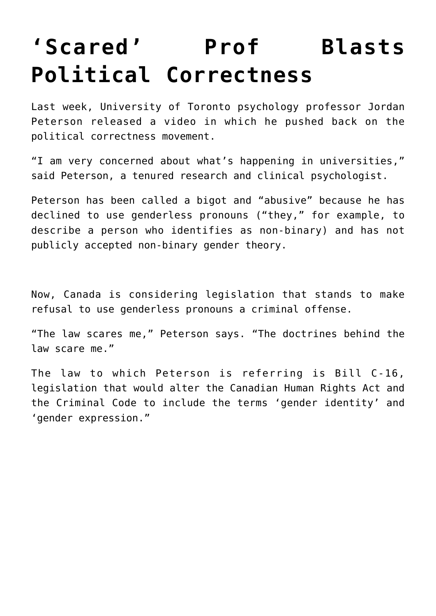## **['Scared' Prof Blasts](https://intellectualtakeout.org/2016/10/scared-prof-blasts-political-correctness/) [Political Correctness](https://intellectualtakeout.org/2016/10/scared-prof-blasts-political-correctness/)**

Last week, University of Toronto psychology professor Jordan Peterson released a video in which he pushed back on the political correctness movement.

"I am very concerned about what's happening in universities," said Peterson, a tenured research and clinical psychologist.

Peterson has been called a bigot and "abusive" because he has declined to use genderless pronouns ("they," for example, to describe a person who identifies as non-binary) and has not publicly accepted non-binary gender theory.

Now, Canada is considering legislation that stands to make refusal to use genderless pronouns a criminal offense.

"The law scares me," Peterson says. "The doctrines behind the law scare me."

The law to which Peterson is referring is Bill C-16, legislation that would alter the Canadian Human Rights Act and the Criminal Code to include the terms 'gender identity' and 'gender expression."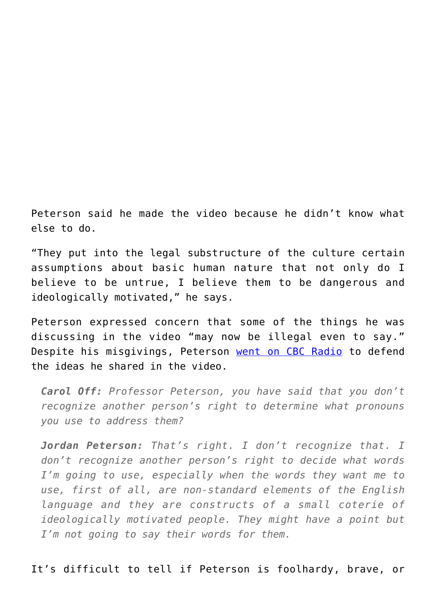Peterson said he made the video because he didn't know what else to do.

"They put into the legal substructure of the culture certain assumptions about basic human nature that not only do I believe to be untrue, I believe them to be dangerous and ideologically motivated," he says.

Peterson expressed concern that some of the things he was discussing in the video "may now be illegal even to say." Despite his misgivings, Peterson [went on CBC Radio](http://www.cbc.ca/radio/asithappens/as-it-happens-friday-edition-1.3786140/i-m-not-a-bigot-meet-the-u-of-t-prof-who-refuses-to-use-genderless-pronouns-1.3786144) to defend the ideas he shared in the video.

*Carol Off: Professor Peterson, you have said that you don't recognize another person's right to determine what pronouns you use to address them?*

*Jordan Peterson: That's right. I don't recognize that. I don't recognize another person's right to decide what words I'm going to use, especially when the words they want me to use, first of all, are non-standard elements of the English language and they are constructs of a small coterie of ideologically motivated people. They might have a point but I'm not going to say their words for them.*

It's difficult to tell if Peterson is foolhardy, brave, or